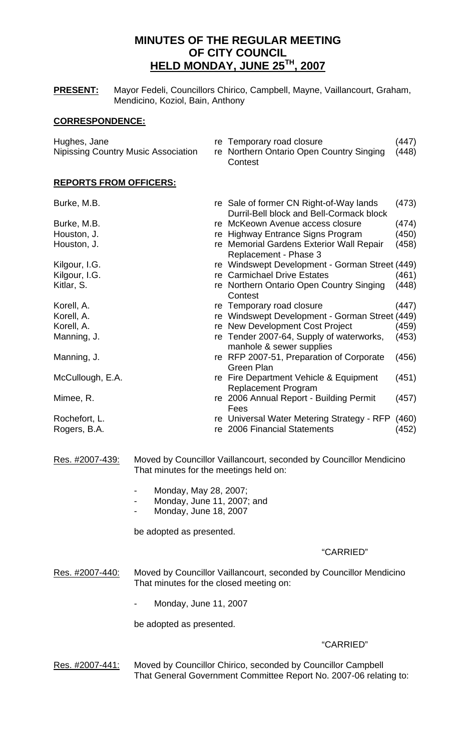# **MINUTES OF THE REGULAR MEETING OF CITY COUNCIL HELD MONDAY, JUNE 25TH, 2007**

**PRESENT:** Mayor Fedeli, Councillors Chirico, Campbell, Mayne, Vaillancourt, Graham, Mendicino, Koziol, Bain, Anthony

## **CORRESPONDENCE:**

| Hughes, Jane<br><b>Nipissing Country Music Association</b> | re Temporary road closure<br>re Northern Ontario Open Country Singing<br>Contest      | (447)<br>(448)             |
|------------------------------------------------------------|---------------------------------------------------------------------------------------|----------------------------|
| <b>REPORTS FROM OFFICERS:</b>                              |                                                                                       |                            |
| Burke, M.B.                                                | re Sale of former CN Right-of-Way lands<br>Durril-Bell block and Bell-Cormack block   | (473)                      |
| Burke, M.B.                                                | re McKeown Avenue access closure                                                      | (474)                      |
| Houston, J.                                                | re Highway Entrance Signs Program                                                     | (450)                      |
|                                                            | . M. $\sim$ . $\sim$ . $\sim$ . $\sim$ . $\sim$ . $\sim$ . $\sim$ . $\sim$ . $\sim$ . | $\lambda$ $\lambda$ $\sim$ |

- Houston, J. **Repart Company** Fe Memorial Gardens Exterior Wall Repair (458) Replacement - Phase 3
- Kilgour, I.G. **regist of the Street Corpuls** re Windswept Development Gorman Street (449)
- Kilgour, I.G. **Register 2018** re Carmichael Drive Estates (461) Kitlar, S. **References References References Country Singing (448) References References References References References References References References References References References Refe Contest**
- Korell, A. Corell, A. Corell, A. re Temporary road closure (447)
- Korell, A. **Reich Einester Corell, A.** re Windswept Development Gorman Street (449)<br>Korell, A. **Reich Eines Street (459)** re New Development Cost Project (459)
	- re New Development Cost Project (459)
- Manning, J. Manning, J. re Tender 2007-64, Supply of waterworks, (453) manhole & sewer supplies
- Manning, J. Manning, J. re RFP 2007-51, Preparation of Corporate (456) Green Plan
- McCullough, E.A. The Fire Department Vehicle & Equipment (451) Replacement Program Mimee, R. The Collection Collection Collection Collection Collection Collection Collection Collection Collection Collection Collection Collection Collection Collection Collection Collection Collection Collection Collection
- **Fees** *Fees Fees* Rochefort, L. **Rochefort, L.** re Universal Water Metering Strategy - RFP (460)
- Rogers, B.A. **Rogers**, B.A. re 2006 Financial Statements (452)
- Res. #2007-439: Moved by Councillor Vaillancourt, seconded by Councillor Mendicino That minutes for the meetings held on:
	- Monday, May 28, 2007;
		- Monday, June 11, 2007; and
	- Monday, June 18, 2007

be adopted as presented.

## "CARRIED"

- Res. #2007-440: Moved by Councillor Vaillancourt, seconded by Councillor Mendicino That minutes for the closed meeting on:
	- Monday, June 11, 2007

be adopted as presented.

## "CARRIED"

Res. #2007-441: Moved by Councillor Chirico, seconded by Councillor Campbell That General Government Committee Report No. 2007-06 relating to: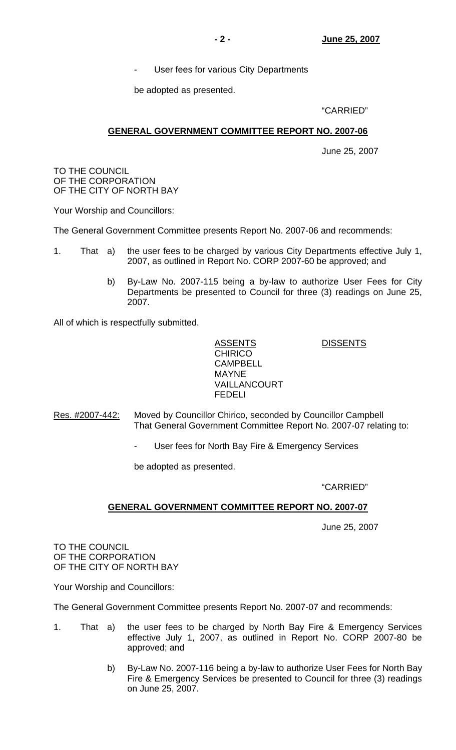User fees for various City Departments

be adopted as presented.

## "CARRIED"

## **GENERAL GOVERNMENT COMMITTEE REPORT NO. 2007-06**

June 25, 2007

TO THE COUNCIL OF THE CORPORATION OF THE CITY OF NORTH BAY

Your Worship and Councillors:

The General Government Committee presents Report No. 2007-06 and recommends:

- 1. That a) the user fees to be charged by various City Departments effective July 1, 2007, as outlined in Report No. CORP 2007-60 be approved; and
	- b) By-Law No. 2007-115 being a by-law to authorize User Fees for City Departments be presented to Council for three (3) readings on June 25, 2007.

All of which is respectfully submitted.

## ASSENTS DISSENTS **CHIRICO**  CAMPBELL MAYNE VAILLANCOURT FEDELI

- Res. #2007-442: Moved by Councillor Chirico, seconded by Councillor Campbell That General Government Committee Report No. 2007-07 relating to:
	- User fees for North Bay Fire & Emergency Services

be adopted as presented.

## "CARRIED"

## **GENERAL GOVERNMENT COMMITTEE REPORT NO. 2007-07**

June 25, 2007

TO THE COUNCIL OF THE CORPORATION OF THE CITY OF NORTH BAY

Your Worship and Councillors:

The General Government Committee presents Report No. 2007-07 and recommends:

- 1. That a) the user fees to be charged by North Bay Fire & Emergency Services effective July 1, 2007, as outlined in Report No. CORP 2007-80 be approved; and
	- b) By-Law No. 2007-116 being a by-law to authorize User Fees for North Bay Fire & Emergency Services be presented to Council for three (3) readings on June 25, 2007.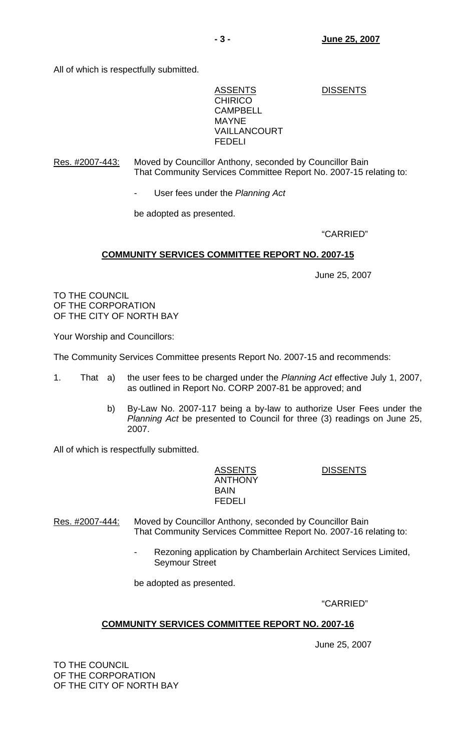All of which is respectfully submitted.

ASSENTS DISSENTS **CHIRICO**  CAMPBELL MAYNE VAILLANCOURT FEDELI

## Res. #2007-443: Moved by Councillor Anthony, seconded by Councillor Bain That Community Services Committee Report No. 2007-15 relating to:

- User fees under the *Planning Act*

be adopted as presented.

## "CARRIED"

## **COMMUNITY SERVICES COMMITTEE REPORT NO. 2007-15**

June 25, 2007

TO THE COUNCIL OF THE CORPORATION OF THE CITY OF NORTH BAY

Your Worship and Councillors:

The Community Services Committee presents Report No. 2007-15 and recommends:

- 1. That a) the user fees to be charged under the *Planning Act* effective July 1, 2007, as outlined in Report No. CORP 2007-81 be approved; and
	- b) By-Law No. 2007-117 being a by-law to authorize User Fees under the *Planning Act* be presented to Council for three (3) readings on June 25, 2007.

All of which is respectfully submitted.

ASSENTS DISSENTS ANTHONY **BAIN** FEDELI

Res. #2007-444: Moved by Councillor Anthony, seconded by Councillor Bain That Community Services Committee Report No. 2007-16 relating to:

> Rezoning application by Chamberlain Architect Services Limited, Seymour Street

be adopted as presented.

"CARRIED"

## **COMMUNITY SERVICES COMMITTEE REPORT NO. 2007-16**

June 25, 2007

TO THE COUNCIL OF THE CORPORATION OF THE CITY OF NORTH BAY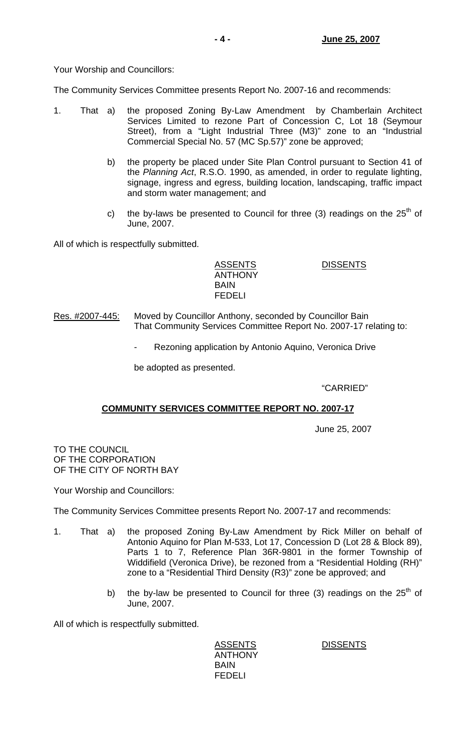Your Worship and Councillors:

The Community Services Committee presents Report No. 2007-16 and recommends:

- 1. That a) the proposed Zoning By-Law Amendment by Chamberlain Architect Services Limited to rezone Part of Concession C, Lot 18 (Seymour Street), from a "Light Industrial Three (M3)" zone to an "Industrial Commercial Special No. 57 (MC Sp.57)" zone be approved;
	- b) the property be placed under Site Plan Control pursuant to Section 41 of the *Planning Act*, R.S.O. 1990, as amended, in order to regulate lighting, signage, ingress and egress, building location, landscaping, traffic impact and storm water management; and
	- c) the by-laws be presented to Council for three (3) readings on the  $25<sup>th</sup>$  of June, 2007.

All of which is respectfully submitted.

 ANTHONY BAIN FEDELI

ASSENTS DISSENTS

- Res. #2007-445: Moved by Councillor Anthony, seconded by Councillor Bain That Community Services Committee Report No. 2007-17 relating to:
	- Rezoning application by Antonio Aquino, Veronica Drive

be adopted as presented.

"CARRIED"

## **COMMUNITY SERVICES COMMITTEE REPORT NO. 2007-17**

June 25, 2007

TO THE COUNCIL OF THE CORPORATION OF THE CITY OF NORTH BAY

Your Worship and Councillors:

The Community Services Committee presents Report No. 2007-17 and recommends:

- 1. That a) the proposed Zoning By-Law Amendment by Rick Miller on behalf of Antonio Aquino for Plan M-533, Lot 17, Concession D (Lot 28 & Block 89), Parts 1 to 7, Reference Plan 36R-9801 in the former Township of Widdifield (Veronica Drive), be rezoned from a "Residential Holding (RH)" zone to a "Residential Third Density (R3)" zone be approved; and
	- b) the by-law be presented to Council for three (3) readings on the  $25<sup>th</sup>$  of June, 2007.

All of which is respectfully submitted.

 ANTHONY BAIN FEDELI

ASSENTS DISSENTS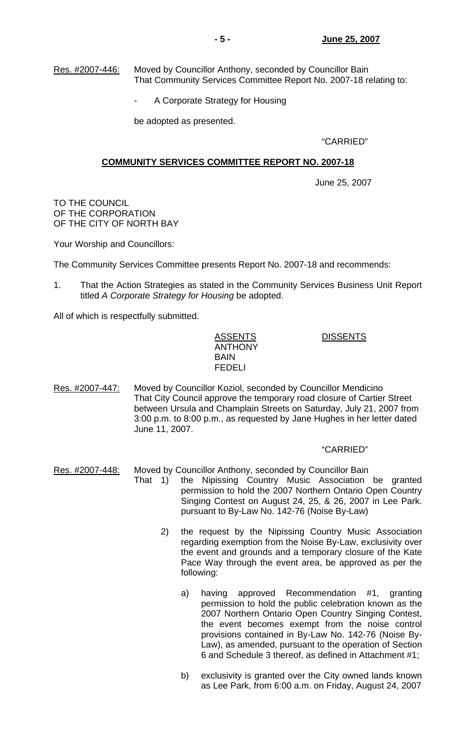Res. #2007-446: Moved by Councillor Anthony, seconded by Councillor Bain That Community Services Committee Report No. 2007-18 relating to:

A Corporate Strategy for Housing

be adopted as presented.

"CARRIED"

## **COMMUNITY SERVICES COMMITTEE REPORT NO. 2007-18**

June 25, 2007

TO THE COUNCIL OF THE CORPORATION OF THE CITY OF NORTH BAY

Your Worship and Councillors:

The Community Services Committee presents Report No. 2007-18 and recommends:

1. That the Action Strategies as stated in the Community Services Business Unit Report titled *A Corporate Strategy for Housing* be adopted.

All of which is respectfully submitted.

ASSENTS DISSENTS ANTHONY BAIN FEDELI

Res. #2007-447: Moved by Councillor Koziol, seconded by Councillor Mendicino That City Council approve the temporary road closure of Cartier Street between Ursula and Champlain Streets on Saturday, July 21, 2007 from 3:00 p.m. to 8:00 p.m., as requested by Jane Hughes in her letter dated June 11, 2007.

#### "CARRIED"

- Res. #2007-448: Moved by Councillor Anthony, seconded by Councillor Bain
	- That 1) the Nipissing Country Music Association be granted permission to hold the 2007 Northern Ontario Open Country Singing Contest on August 24, 25, & 26, 2007 in Lee Park. pursuant to By-Law No. 142-76 (Noise By-Law)
		- 2) the request by the Nipissing Country Music Association regarding exemption from the Noise By-Law, exclusivity over the event and grounds and a temporary closure of the Kate Pace Way through the event area, be approved as per the following:
			- a) having approved Recommendation #1, granting permission to hold the public celebration known as the 2007 Northern Ontario Open Country Singing Contest, the event becomes exempt from the noise control provisions contained in By-Law No. 142-76 (Noise By-Law), as amended, pursuant to the operation of Section 6 and Schedule 3 thereof, as defined in Attachment #1;
			- b) exclusivity is granted over the City owned lands known as Lee Park, from 6:00 a.m. on Friday, August 24, 2007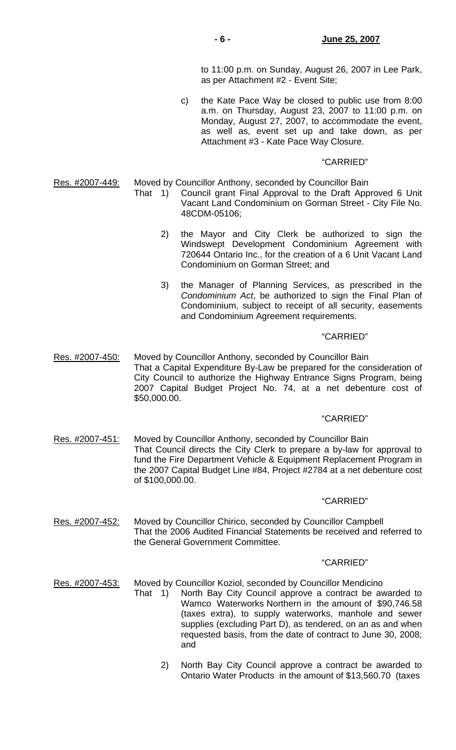to 11:00 p.m. on Sunday, August 26, 2007 in Lee Park, as per Attachment #2 - Event Site;

 c) the Kate Pace Way be closed to public use from 8:00 a.m. on Thursday, August 23, 2007 to 11:00 p.m. on Monday, August 27, 2007, to accommodate the event, as well as, event set up and take down, as per Attachment #3 - Kate Pace Way Closure.

#### "CARRIED"

Res. #2007-449: Moved by Councillor Anthony, seconded by Councillor Bain

- That 1) Council grant Final Approval to the Draft Approved 6 Unit Vacant Land Condominium on Gorman Street - City File No. 48CDM-05106;
	- 2) the Mayor and City Clerk be authorized to sign the Windswept Development Condominium Agreement with 720644 Ontario Inc., for the creation of a 6 Unit Vacant Land Condominium on Gorman Street; and
	- 3) the Manager of Planning Services, as prescribed in the *Condominium Act*, be authorized to sign the Final Plan of Condominium, subject to receipt of all security, easements and Condominium Agreement requirements.

#### "CARRIED"

Res. #2007-450: Moved by Councillor Anthony, seconded by Councillor Bain That a Capital Expenditure By-Law be prepared for the consideration of City Council to authorize the Highway Entrance Signs Program, being 2007 Capital Budget Project No. 74, at a net debenture cost of \$50,000.00.

## "CARRIED"

Res. #2007-451: Moved by Councillor Anthony, seconded by Councillor Bain That Council directs the City Clerk to prepare a by-law for approval to fund the Fire Department Vehicle & Equipment Replacement Program in the 2007 Capital Budget Line #84, Project #2784 at a net debenture cost of \$100,000.00.

#### "CARRIED"

Res. #2007-452: Moved by Councillor Chirico, seconded by Councillor Campbell That the 2006 Audited Financial Statements be received and referred to the General Government Committee.

#### "CARRIED"

Res. #2007-453: Moved by Councillor Koziol, seconded by Councillor Mendicino

- That 1) North Bay City Council approve a contract be awarded to Wamco Waterworks Northern in the amount of \$90,746.58 (taxes extra), to supply waterworks, manhole and sewer supplies (excluding Part D), as tendered, on an as and when requested basis, from the date of contract to June 30, 2008; and
	- 2) North Bay City Council approve a contract be awarded to Ontario Water Products in the amount of \$13,560.70 (taxes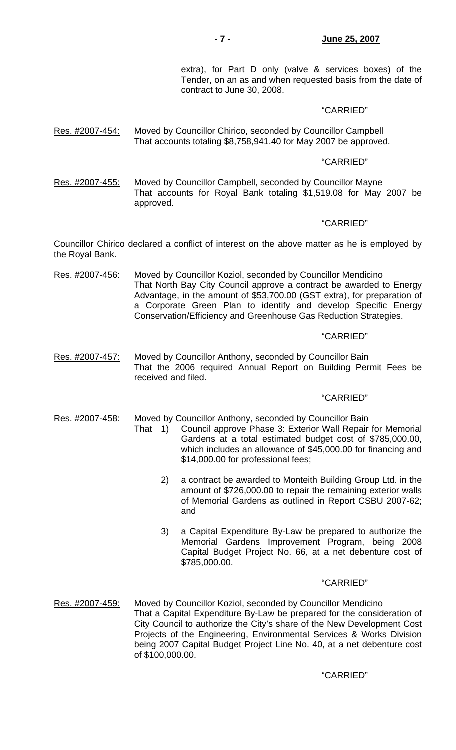## **- 7 - June 25, 2007**

 extra), for Part D only (valve & services boxes) of the Tender, on an as and when requested basis from the date of contract to June 30, 2008.

## "CARRIED"

Res. #2007-454: Moved by Councillor Chirico, seconded by Councillor Campbell That accounts totaling \$8,758,941.40 for May 2007 be approved.

#### "CARRIED"

Res. #2007-455: Moved by Councillor Campbell, seconded by Councillor Mayne That accounts for Royal Bank totaling \$1,519.08 for May 2007 be approved.

#### "CARRIED"

Councillor Chirico declared a conflict of interest on the above matter as he is employed by the Royal Bank.

Res. #2007-456: Moved by Councillor Koziol, seconded by Councillor Mendicino That North Bay City Council approve a contract be awarded to Energy Advantage, in the amount of \$53,700.00 (GST extra), for preparation of a Corporate Green Plan to identify and develop Specific Energy Conservation/Efficiency and Greenhouse Gas Reduction Strategies.

#### "CARRIED"

Res. #2007-457: Moved by Councillor Anthony, seconded by Councillor Bain That the 2006 required Annual Report on Building Permit Fees be received and filed.

#### "CARRIED"

Res. #2007-458: Moved by Councillor Anthony, seconded by Councillor Bain

- That 1) Council approve Phase 3: Exterior Wall Repair for Memorial Gardens at a total estimated budget cost of \$785,000.00, which includes an allowance of \$45,000.00 for financing and \$14,000.00 for professional fees;
	- 2) a contract be awarded to Monteith Building Group Ltd. in the amount of \$726,000.00 to repair the remaining exterior walls of Memorial Gardens as outlined in Report CSBU 2007-62; and
	- 3) a Capital Expenditure By-Law be prepared to authorize the Memorial Gardens Improvement Program, being 2008 Capital Budget Project No. 66, at a net debenture cost of \$785,000.00.

#### "CARRIED"

Res. #2007-459: Moved by Councillor Koziol, seconded by Councillor Mendicino That a Capital Expenditure By-Law be prepared for the consideration of City Council to authorize the City's share of the New Development Cost Projects of the Engineering, Environmental Services & Works Division being 2007 Capital Budget Project Line No. 40, at a net debenture cost of \$100,000.00.

### "CARRIED"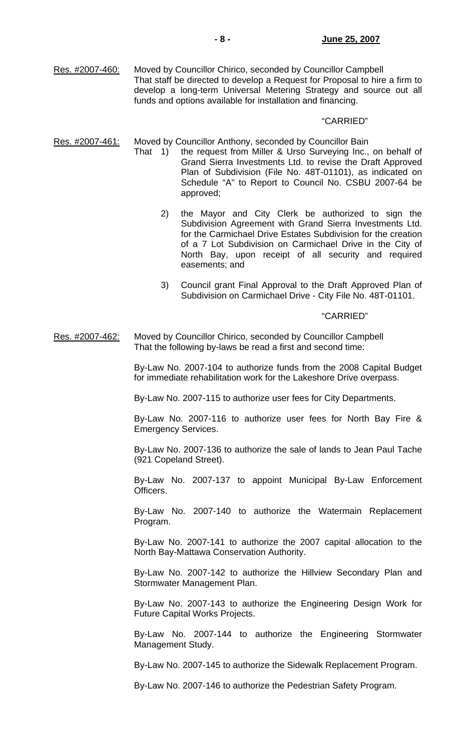Res. #2007-460: Moved by Councillor Chirico, seconded by Councillor Campbell That staff be directed to develop a Request for Proposal to hire a firm to develop a long-term Universal Metering Strategy and source out all funds and options available for installation and financing.

#### "CARRIED"

Res. #2007-461: Moved by Councillor Anthony, seconded by Councillor Bain

- That 1) the request from Miller & Urso Surveying Inc., on behalf of Grand Sierra Investments Ltd. to revise the Draft Approved Plan of Subdivision (File No. 48T-01101), as indicated on Schedule "A" to Report to Council No. CSBU 2007-64 be approved;
	- 2) the Mayor and City Clerk be authorized to sign the Subdivision Agreement with Grand Sierra Investments Ltd. for the Carmichael Drive Estates Subdivision for the creation of a 7 Lot Subdivision on Carmichael Drive in the City of North Bay, upon receipt of all security and required easements; and
	- 3) Council grant Final Approval to the Draft Approved Plan of Subdivision on Carmichael Drive - City File No. 48T-01101.

## "CARRIED"

Res. #2007-462: Moved by Councillor Chirico, seconded by Councillor Campbell That the following by-laws be read a first and second time:

> By-Law No. 2007-104 to authorize funds from the 2008 Capital Budget for immediate rehabilitation work for the Lakeshore Drive overpass.

By-Law No. 2007-115 to authorize user fees for City Departments.

 By-Law No. 2007-116 to authorize user fees for North Bay Fire & Emergency Services.

 By-Law No. 2007-136 to authorize the sale of lands to Jean Paul Tache (921 Copeland Street).

 By-Law No. 2007-137 to appoint Municipal By-Law Enforcement Officers.

 By-Law No. 2007-140 to authorize the Watermain Replacement Program.

 By-Law No. 2007-141 to authorize the 2007 capital allocation to the North Bay-Mattawa Conservation Authority.

 By-Law No. 2007-142 to authorize the Hillview Secondary Plan and Stormwater Management Plan.

 By-Law No. 2007-143 to authorize the Engineering Design Work for Future Capital Works Projects.

 By-Law No. 2007-144 to authorize the Engineering Stormwater Management Study.

By-Law No. 2007-145 to authorize the Sidewalk Replacement Program.

By-Law No. 2007-146 to authorize the Pedestrian Safety Program.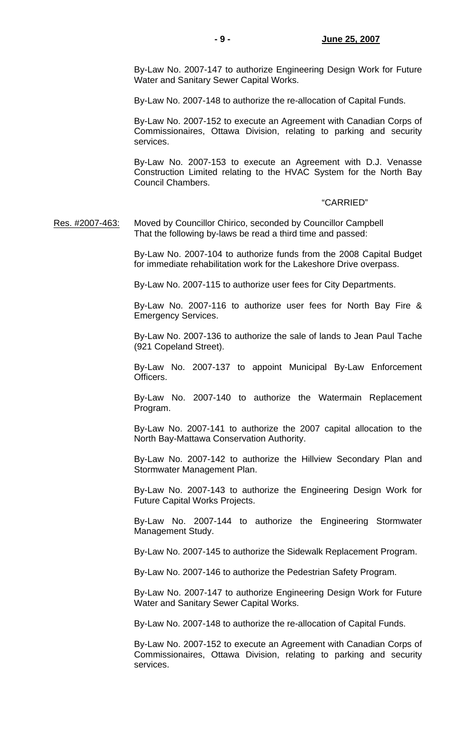By-Law No. 2007-147 to authorize Engineering Design Work for Future Water and Sanitary Sewer Capital Works.

By-Law No. 2007-148 to authorize the re-allocation of Capital Funds.

 By-Law No. 2007-152 to execute an Agreement with Canadian Corps of Commissionaires, Ottawa Division, relating to parking and security services.

 By-Law No. 2007-153 to execute an Agreement with D.J. Venasse Construction Limited relating to the HVAC System for the North Bay Council Chambers.

#### "CARRIED"

Res. #2007-463: Moved by Councillor Chirico, seconded by Councillor Campbell That the following by-laws be read a third time and passed:

> By-Law No. 2007-104 to authorize funds from the 2008 Capital Budget for immediate rehabilitation work for the Lakeshore Drive overpass.

By-Law No. 2007-115 to authorize user fees for City Departments.

 By-Law No. 2007-116 to authorize user fees for North Bay Fire & Emergency Services.

 By-Law No. 2007-136 to authorize the sale of lands to Jean Paul Tache (921 Copeland Street).

 By-Law No. 2007-137 to appoint Municipal By-Law Enforcement Officers.

 By-Law No. 2007-140 to authorize the Watermain Replacement Program.

 By-Law No. 2007-141 to authorize the 2007 capital allocation to the North Bay-Mattawa Conservation Authority.

 By-Law No. 2007-142 to authorize the Hillview Secondary Plan and Stormwater Management Plan.

 By-Law No. 2007-143 to authorize the Engineering Design Work for Future Capital Works Projects.

 By-Law No. 2007-144 to authorize the Engineering Stormwater Management Study.

By-Law No. 2007-145 to authorize the Sidewalk Replacement Program.

By-Law No. 2007-146 to authorize the Pedestrian Safety Program.

 By-Law No. 2007-147 to authorize Engineering Design Work for Future Water and Sanitary Sewer Capital Works.

By-Law No. 2007-148 to authorize the re-allocation of Capital Funds.

 By-Law No. 2007-152 to execute an Agreement with Canadian Corps of Commissionaires, Ottawa Division, relating to parking and security services.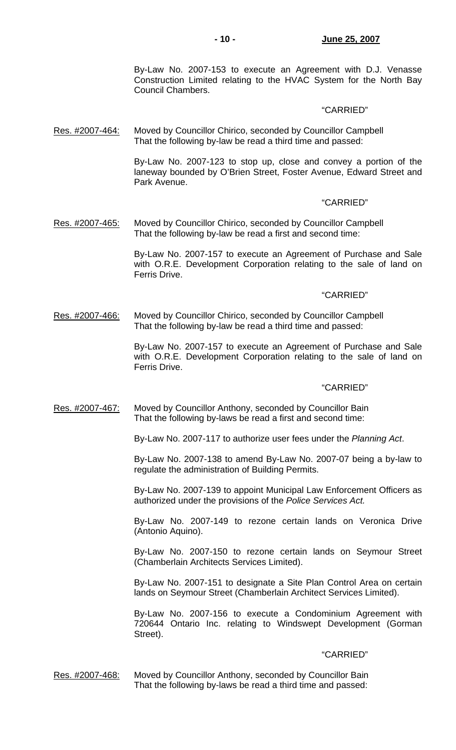By-Law No. 2007-153 to execute an Agreement with D.J. Venasse Construction Limited relating to the HVAC System for the North Bay Council Chambers.

#### "CARRIED"

Res. #2007-464: Moved by Councillor Chirico, seconded by Councillor Campbell That the following by-law be read a third time and passed:

> By-Law No. 2007-123 to stop up, close and convey a portion of the laneway bounded by O'Brien Street, Foster Avenue, Edward Street and Park Avenue.

#### "CARRIED"

Res. #2007-465: Moved by Councillor Chirico, seconded by Councillor Campbell That the following by-law be read a first and second time:

> By-Law No. 2007-157 to execute an Agreement of Purchase and Sale with O.R.E. Development Corporation relating to the sale of land on Ferris Drive.

#### "CARRIED"

Res. #2007-466: Moved by Councillor Chirico, seconded by Councillor Campbell That the following by-law be read a third time and passed:

> By-Law No. 2007-157 to execute an Agreement of Purchase and Sale with O.R.E. Development Corporation relating to the sale of land on Ferris Drive.

#### "CARRIED"

Res. #2007-467: Moved by Councillor Anthony, seconded by Councillor Bain That the following by-laws be read a first and second time:

By-Law No. 2007-117 to authorize user fees under the *Planning Act*.

 By-Law No. 2007-138 to amend By-Law No. 2007-07 being a by-law to regulate the administration of Building Permits.

 By-Law No. 2007-139 to appoint Municipal Law Enforcement Officers as authorized under the provisions of the *Police Services Act.*

 By-Law No. 2007-149 to rezone certain lands on Veronica Drive (Antonio Aquino).

 By-Law No. 2007-150 to rezone certain lands on Seymour Street (Chamberlain Architects Services Limited).

 By-Law No. 2007-151 to designate a Site Plan Control Area on certain lands on Seymour Street (Chamberlain Architect Services Limited).

 By-Law No. 2007-156 to execute a Condominium Agreement with 720644 Ontario Inc. relating to Windswept Development (Gorman Street).

#### "CARRIED"

Res. #2007-468: Moved by Councillor Anthony, seconded by Councillor Bain That the following by-laws be read a third time and passed: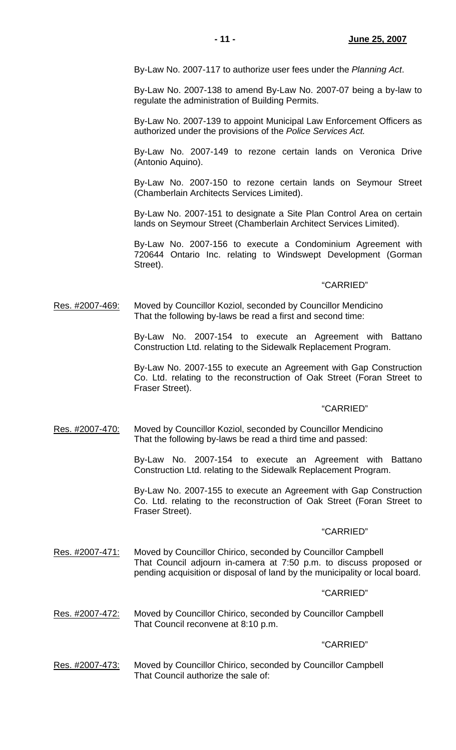By-Law No. 2007-117 to authorize user fees under the *Planning Act*.

 By-Law No. 2007-138 to amend By-Law No. 2007-07 being a by-law to regulate the administration of Building Permits.

 By-Law No. 2007-139 to appoint Municipal Law Enforcement Officers as authorized under the provisions of the *Police Services Act.*

 By-Law No. 2007-149 to rezone certain lands on Veronica Drive (Antonio Aquino).

 By-Law No. 2007-150 to rezone certain lands on Seymour Street (Chamberlain Architects Services Limited).

 By-Law No. 2007-151 to designate a Site Plan Control Area on certain lands on Seymour Street (Chamberlain Architect Services Limited).

 By-Law No. 2007-156 to execute a Condominium Agreement with 720644 Ontario Inc. relating to Windswept Development (Gorman Street).

#### "CARRIED"

Res. #2007-469: Moved by Councillor Koziol, seconded by Councillor Mendicino That the following by-laws be read a first and second time:

> By-Law No. 2007-154 to execute an Agreement with Battano Construction Ltd. relating to the Sidewalk Replacement Program.

> By-Law No. 2007-155 to execute an Agreement with Gap Construction Co. Ltd. relating to the reconstruction of Oak Street (Foran Street to Fraser Street).

## "CARRIED"

Res. #2007-470: Moved by Councillor Koziol, seconded by Councillor Mendicino That the following by-laws be read a third time and passed:

> By-Law No. 2007-154 to execute an Agreement with Battano Construction Ltd. relating to the Sidewalk Replacement Program.

> By-Law No. 2007-155 to execute an Agreement with Gap Construction Co. Ltd. relating to the reconstruction of Oak Street (Foran Street to Fraser Street).

#### "CARRIED"

Res. #2007-471: Moved by Councillor Chirico, seconded by Councillor Campbell That Council adjourn in-camera at 7:50 p.m. to discuss proposed or pending acquisition or disposal of land by the municipality or local board.

#### "CARRIED"

Res. #2007-472: Moved by Councillor Chirico, seconded by Councillor Campbell That Council reconvene at 8:10 p.m.

#### "CARRIED"

Res. #2007-473: Moved by Councillor Chirico, seconded by Councillor Campbell That Council authorize the sale of: